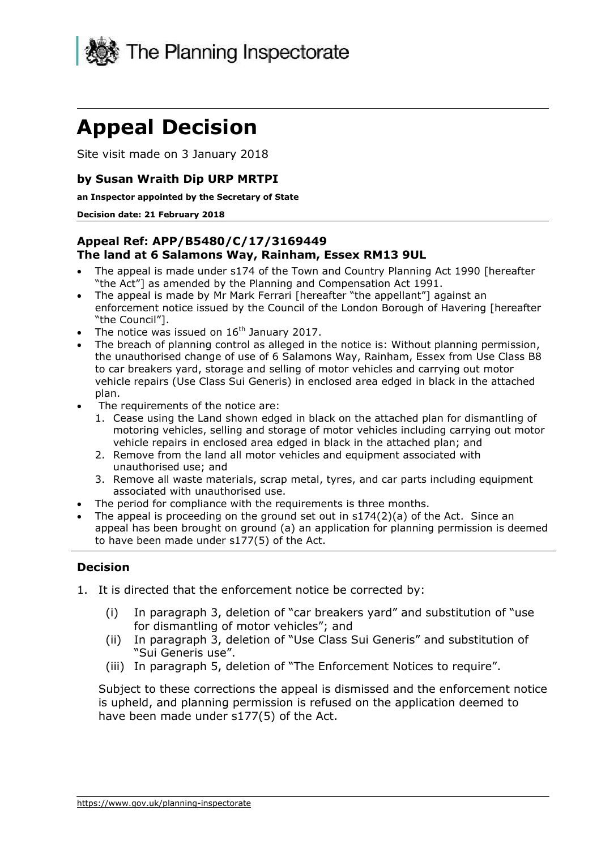

# **Appeal Decision**

Site visit made on 3 January 2018

## **by Susan Wraith Dip URP MRTPI**

 **an Inspector appointed by the Secretary of State** 

#### **Decision date: 21 February 2018**

## **Appeal Ref: APP/B5480/C/17/3169449 The land at 6 Salamons Way, Rainham, Essex RM13 9UL**

- The appeal is made under s174 of the Town and Country Planning Act 1990 [hereafter "the Act"] as amended by the Planning and Compensation Act 1991.
- The appeal is made by Mr Mark Ferrari [hereafter "the appellant"] against an enforcement notice issued by the Council of the London Borough of Havering [hereafter "the Council"].
- The notice was issued on  $16<sup>th</sup>$  January 2017.
- the unauthorised change of use of 6 Salamons Way, Rainham, Essex from Use Class B8 The breach of planning control as alleged in the notice is: Without planning permission, to car breakers yard, storage and selling of motor vehicles and carrying out motor vehicle repairs (Use Class Sui Generis) in enclosed area edged in black in the attached plan.
- The requirements of the notice are:
	- 1. Cease using the Land shown edged in black on the attached plan for dismantling of motoring vehicles, selling and storage of motor vehicles including carrying out motor vehicle repairs in enclosed area edged in black in the attached plan; and
	- 2. Remove from the land all motor vehicles and equipment associated with unauthorised use; and
	- 3. Remove all waste materials, scrap metal, tyres, and car parts including equipment associated with unauthorised use.
- The period for compliance with the requirements is three months.
- The appeal is proceeding on the ground set out in  $s174(2)(a)$  of the Act. Since an appeal has been brought on ground (a) an application for planning permission is deemed to have been made under s177(5) of the Act.

## **Decision**

- 1. It is directed that the enforcement notice be corrected by:
	- (i) In paragraph 3, deletion of "car breakers yard" and substitution of "use for dismantling of motor vehicles"; and
	- (ii) In paragraph 3, deletion of "Use Class Sui Generis" and substitution of "Sui Generis use".
	- (iii) In paragraph 5, deletion of "The Enforcement Notices to require".

 Subject to these corrections the appeal is dismissed and the enforcement notice is upheld, and planning permission is refused on the application deemed to have been made under s177(5) of the Act.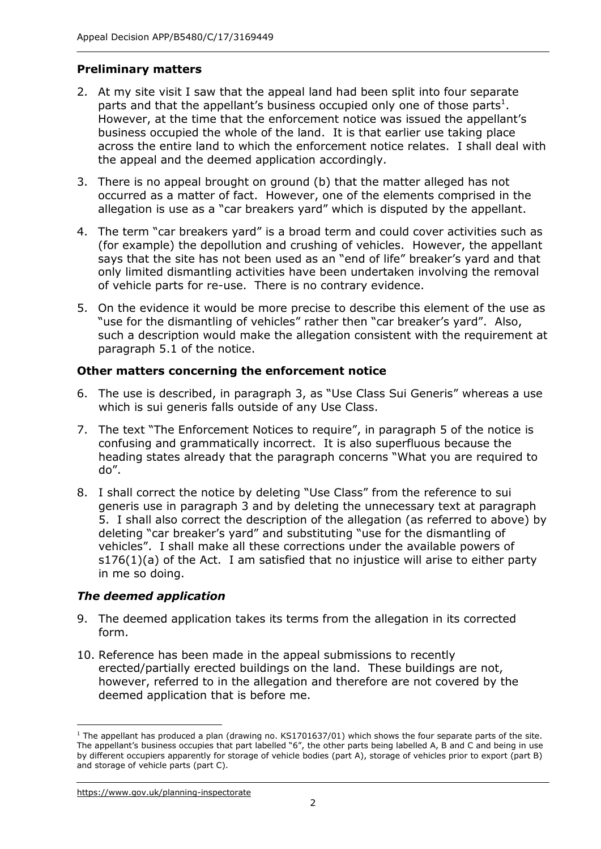## **Preliminary matters**

- 2. At my site visit I saw that the appeal land had been split into four separate parts and that the appellant's business occupied only one of those parts<sup>1</sup>. business occupied the whole of the land. It is that earlier use taking place across the entire land to which the enforcement notice relates. I shall deal with the appeal and the deemed application accordingly. However, at the time that the enforcement notice was issued the appellant's
- 3. There is no appeal brought on ground (b) that the matter alleged has not occurred as a matter of fact. However, one of the elements comprised in the allegation is use as a "car breakers yard" which is disputed by the appellant.
- 4. The term "car breakers yard" is a broad term and could cover activities such as (for example) the depollution and crushing of vehicles. However, the appellant only limited dismantling activities have been undertaken involving the removal of vehicle parts for re-use. There is no contrary evidence. says that the site has not been used as an "end of life" breaker's yard and that
- 5. On the evidence it would be more precise to describe this element of the use as "use for the dismantling of vehicles" rather then "car breaker's yard". Also, such a description would make the allegation consistent with the requirement at paragraph 5.1 of the notice.

## **Other matters concerning the enforcement notice**

- which is sui generis falls outside of any Use Class. 6. The use is described, in paragraph 3, as "Use Class Sui Generis" whereas a use
- 7. The text "The Enforcement Notices to require", in paragraph 5 of the notice is confusing and grammatically incorrect. It is also superfluous because the heading states already that the paragraph concerns "What you are required to do".
- 8. I shall correct the notice by deleting "Use Class" from the reference to sui generis use in paragraph 3 and by deleting the unnecessary text at paragraph 5. I shall also correct the description of the allegation (as referred to above) by deleting "car breaker's yard" and substituting "use for the dismantling of vehicles". I shall make all these corrections under the available powers of s176(1)(a) of the Act. I am satisfied that no injustice will arise to either party in me so doing.

## *The deemed application*

- 9. The deemed application takes its terms from the allegation in its corrected form.
- erected/partially erected buildings on the land. These buildings are not, however, referred to in the allegation and therefore are not covered by the deemed application that is before me. 10. Reference has been made in the appeal submissions to recently

j

 The appellant's business occupies that part labelled "6", the other parts being labelled A, B and C and being in use by different occupiers apparently for storage of vehicle bodies (part A), storage of vehicles prior to export (part B) and storage of vehicle parts (part C). <sup>1</sup> The appellant has produced a plan (drawing no. KS1701637/01) which shows the four separate parts of the site.

 <https://www.gov.uk/planning-inspectorate>2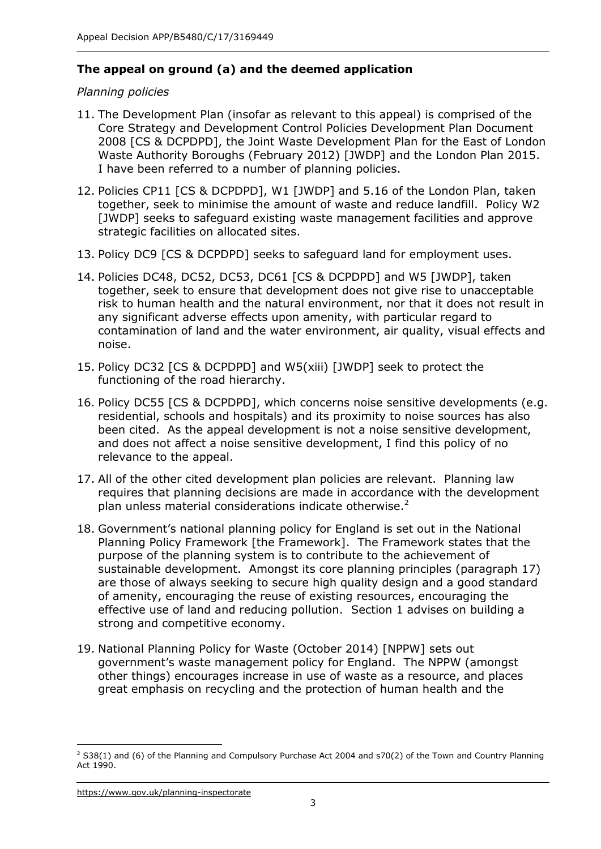## **The appeal on ground (a) and the deemed application**

## *Planning policies*

- Core Strategy and Development Control Policies Development Plan Document 2008 [CS & DCPDPD], the Joint Waste Development Plan for the East of London Waste Authority Boroughs (February 2012) [JWDP] and the London Plan 2015. I have been referred to a number of planning policies. 11. The Development Plan (insofar as relevant to this appeal) is comprised of the
- 12. Policies CP11 [CS & DCPDPD], W1 [JWDP] and 5.16 of the London Plan, taken together, seek to minimise the amount of waste and reduce landfill. Policy W2 [JWDP] seeks to safeguard existing waste management facilities and approve strategic facilities on allocated sites.
- strategic facilities on allocated sites. 13. Policy DC9 [CS & DCPDPD] seeks to safeguard land for employment uses.
- 14. Policies DC48, DC52, DC53, DC61 [CS & DCPDPD] and W5 [JWDP], taken together, seek to ensure that development does not give rise to unacceptable risk to human health and the natural environment, nor that it does not result in any significant adverse effects upon amenity, with particular regard to contamination of land and the water environment, air quality, visual effects and noise.
- noise.<br>15. Policy DC32 [CS & DCPDPD] and W5(xiii) [JWDP] seek to protect the functioning of the road hierarchy.
- 16. Policy DC55 [CS & DCPDPD], which concerns noise sensitive developments (e.g. residential, schools and hospitals) and its proximity to noise sources has also been cited. As the appeal development is not a noise sensitive development, and does not affect a noise sensitive development, I find this policy of no relevance to the appeal.
- relevance to the appeal.<br>17. All of the other cited development plan policies are relevant. Planning law requires that planning decisions are made in accordance with the development plan unless material considerations indicate otherwise.<sup>2</sup>
- 18. Government's national planning policy for England is set out in the National Planning Policy Framework [the Framework]. The Framework states that the purpose of the planning system is to contribute to the achievement of sustainable development. Amongst its core planning principles (paragraph 17) are those of always seeking to secure high quality design and a good standard of amenity, encouraging the reuse of existing resources, encouraging the effective use of land and reducing pollution. Section 1 advises on building a strong and competitive economy.
- 19. National Planning Policy for Waste (October 2014) [NPPW] sets out government's waste management policy for England. The NPPW (amongst other things) encourages increase in use of waste as a resource, and places great emphasis on recycling and the protection of human health and the

<https://www.gov.uk/planning-inspectorate>3

j  $2$  S38(1) and (6) of the Planning and Compulsory Purchase Act 2004 and s70(2) of the Town and Country Planning Act 1990.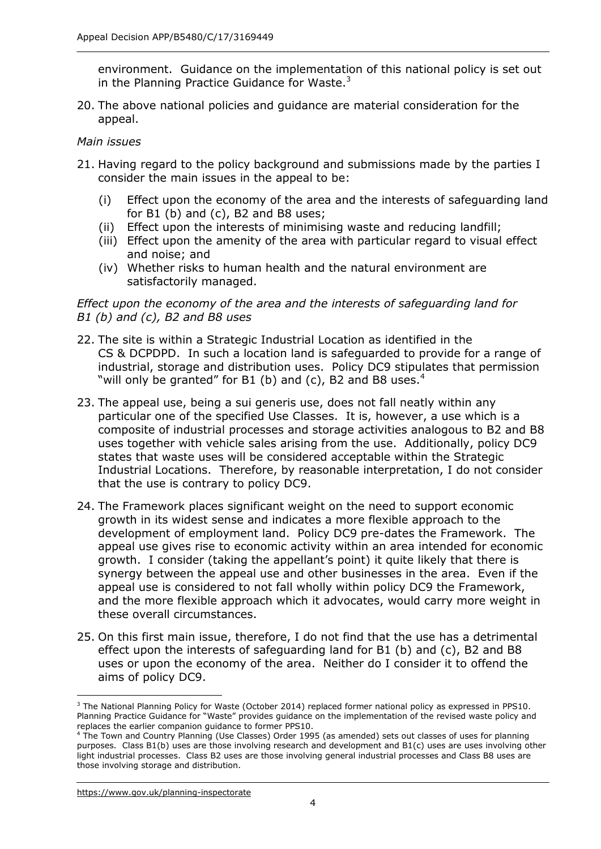environment. Guidance on the implementation of this national policy is set out in the Planning Practice Guidance for Waste. $3$ 

20. The above national policies and guidance are material consideration for the appeal.

#### *Main issues*

- 21. Having regard to the policy background and submissions made by the parties I consider the main issues in the appeal to be:
	- for B1 (b) and (c), B2 and B8 uses; (i) Effect upon the economy of the area and the interests of safeguarding land
	- (ii) Effect upon the interests of minimising waste and reducing landfill;
	- (iii) Effect upon the amenity of the area with particular regard to visual effect and noise; and
	- satisfactorily managed. (iv) Whether risks to human health and the natural environment are

#### *Effect upon the economy of the area and the interests of safeguarding land for B1 (b) and (c), B2 and B8 uses*

- CS & DCPDPD. In such a location land is safeguarded to provide for a range of industrial, storage and distribution uses. Policy DC9 stipulates that permission "will only be granted" for B1 (b) and (c), B2 and B8 uses. $4$ 22. The site is within a Strategic Industrial Location as identified in the
- 23. The appeal use, being a sui generis use, does not fall neatly within any particular one of the specified Use Classes. It is, however, a use which is a composite of industrial processes and storage activities analogous to B2 and B8 uses together with vehicle sales arising from the use. Additionally, policy DC9 Industrial Locations. Therefore, by reasonable interpretation, I do not consider that the use is contrary to policy DC9. states that waste uses will be considered acceptable within the Strategic
- 24. The Framework places significant weight on the need to support economic development of employment land. Policy DC9 pre-dates the Framework. The appeal use gives rise to economic activity within an area intended for economic growth. I consider (taking the appellant's point) it quite likely that there is synergy between the appeal use and other businesses in the area. Even if the appeal use is considered to not fall wholly within policy DC9 the Framework, and the more flexible approach which it advocates, would carry more weight in these overall circumstances. growth in its widest sense and indicates a more flexible approach to the
- these overall circumstances. 25. On this first main issue, therefore, I do not find that the use has a detrimental effect upon the interests of safeguarding land for B1 (b) and (c), B2 and B8 uses or upon the economy of the area. Neither do I consider it to offend the aims of policy DC9.

 $\overline{a}$ 

 Planning Practice Guidance for "Waste" provides guidance on the implementation of the revised waste policy and <sup>3</sup> The National Planning Policy for Waste (October 2014) replaced former national policy as expressed in PPS10. replaces the earlier companion guidance to former PPS10.

 purposes. Class B1(b) uses are those involving research and development and B1(c) uses are uses involving other light industrial processes. Class B2 uses are those involving general industrial processes and Class B8 uses are those involving storage and distribution. <sup>4</sup> The Town and Country Planning (Use Classes) Order 1995 (as amended) sets out classes of uses for planning

 <https://www.gov.uk/planning-inspectorate>4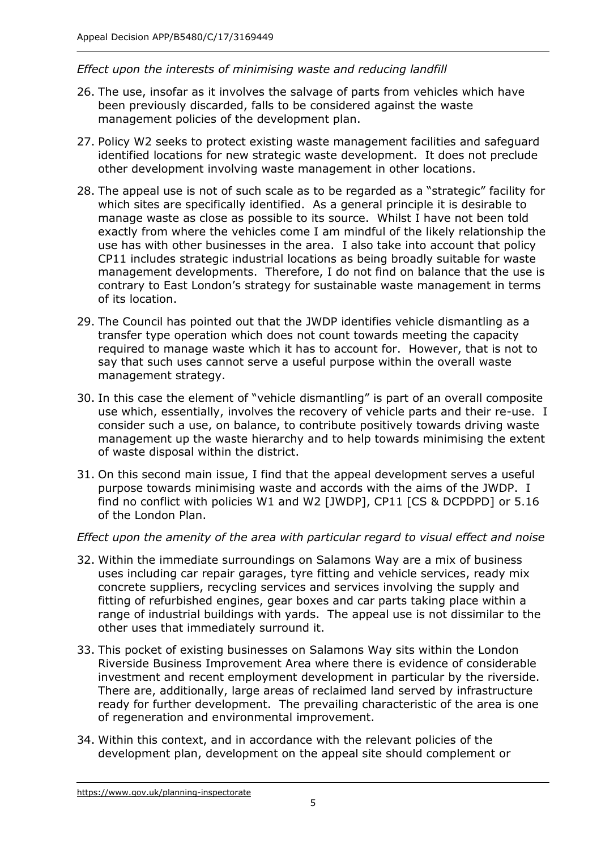## *Effect upon the interests of minimising waste and reducing landfill*

- 26. The use, insofar as it involves the salvage of parts from vehicles which have been previously discarded, falls to be considered against the waste management policies of the development plan.
- 27. Policy W2 seeks to protect existing waste management facilities and safeguard identified locations for new strategic waste development. It does not preclude other development involving waste management in other locations.
- 28. The appeal use is not of such scale as to be regarded as a "strategic" facility for which sites are specifically identified. As a general principle it is desirable to manage waste as close as possible to its source. Whilst I have not been told exactly from where the vehicles come I am mindful of the likely relationship the use has with other businesses in the area. I also take into account that policy CP11 includes strategic industrial locations as being broadly suitable for waste management developments. Therefore, I do not find on balance that the use is of its location. contrary to East London's strategy for sustainable waste management in terms
- of its location. 29. The Council has pointed out that the JWDP identifies vehicle dismantling as a transfer type operation which does not count towards meeting the capacity required to manage waste which it has to account for. However, that is not to say that such uses cannot serve a useful purpose within the overall waste management strategy.
- use which, essentially, involves the recovery of vehicle parts and their re-use. I consider such a use, on balance, to contribute positively towards driving waste management up the waste hierarchy and to help towards minimising the extent of waste disposal within the district. 30. In this case the element of "vehicle dismantling" is part of an overall composite
- of waste disposal within the district. 31. On this second main issue, I find that the appeal development serves a useful purpose towards minimising waste and accords with the aims of the JWDP. I find no conflict with policies W1 and W2 [JWDP], CP11 [CS & DCPDPD] or 5.16 of the London Plan.

#### *Effect upon the amenity of the area with particular regard to visual effect and noise*

- 32. Within the immediate surroundings on Salamons Way are a mix of business uses including car repair garages, tyre fitting and vehicle services, ready mix concrete suppliers, recycling services and services involving the supply and fitting of refurbished engines, gear boxes and car parts taking place within a range of industrial buildings with yards. The appeal use is not dissimilar to the other uses that immediately surround it.
- 33. This pocket of existing businesses on Salamons Way sits within the London Riverside Business Improvement Area where there is evidence of considerable investment and recent employment development in particular by the riverside. There are, additionally, large areas of reclaimed land served by infrastructure ready for further development. The prevailing characteristic of the area is one of regeneration and environmental improvement.
- of regeneration and environmental improvement. 34. Within this context, and in accordance with the relevant policies of the development plan, development on the appeal site should complement or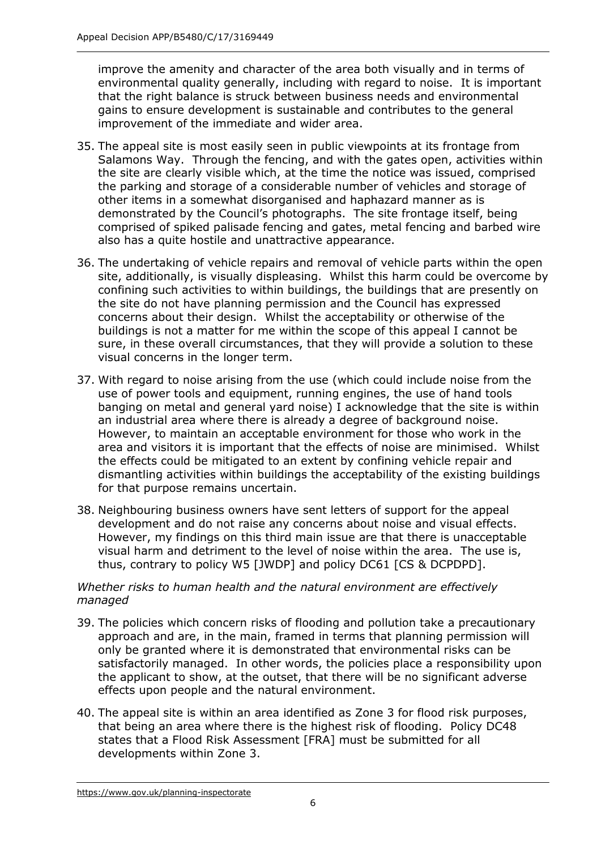improve the amenity and character of the area both visually and in terms of environmental quality generally, including with regard to noise. It is important that the right balance is struck between business needs and environmental gains to ensure development is sustainable and contributes to the general improvement of the immediate and wider area.

- improvement of the immediate and wider area. 35. The appeal site is most easily seen in public viewpoints at its frontage from Salamons Way. Through the fencing, and with the gates open, activities within the parking and storage of a considerable number of vehicles and storage of demonstrated by the Council's photographs. The site frontage itself, being comprised of spiked palisade fencing and gates, metal fencing and barbed wire also has a quite hostile and unattractive appearance. the site are clearly visible which, at the time the notice was issued, comprised other items in a somewhat disorganised and haphazard manner as is
- 36. The undertaking of vehicle repairs and removal of vehicle parts within the open site, additionally, is visually displeasing. Whilst this harm could be overcome by confining such activities to within buildings, the buildings that are presently on concerns about their design. Whilst the acceptability or otherwise of the buildings is not a matter for me within the scope of this appeal I cannot be sure, in these overall circumstances, that they will provide a solution to these visual concerns in the longer term. the site do not have planning permission and the Council has expressed
- 37. With regard to noise arising from the use (which could include noise from the use of power tools and equipment, running engines, the use of hand tools banging on metal and general yard noise) I acknowledge that the site is within an industrial area where there is already a degree of background noise. However, to maintain an acceptable environment for those who work in the area and visitors it is important that the effects of noise are minimised. Whilst the effects could be mitigated to an extent by confining vehicle repair and dismantling activities within buildings the acceptability of the existing buildings for that purpose remains uncertain.
- for that purpose remains uncertain. 38. Neighbouring business owners have sent letters of support for the appeal development and do not raise any concerns about noise and visual effects. However, my findings on this third main issue are that there is unacceptable visual harm and detriment to the level of noise within the area. The use is, thus, contrary to policy W5 [JWDP] and policy DC61 [CS & DCPDPD].

## *Whether risks to human health and the natural environment are effectively managed*

- 39. The policies which concern risks of flooding and pollution take a precautionary approach and are, in the main, framed in terms that planning permission will only be granted where it is demonstrated that environmental risks can be satisfactorily managed. In other words, the policies place a responsibility upon the applicant to show, at the outset, that there will be no significant adverse effects upon people and the natural environment.
- 40. The appeal site is within an area identified as Zone 3 for flood risk purposes, that being an area where there is the highest risk of flooding. Policy DC48 states that a Flood Risk Assessment [FRA] must be submitted for all developments within Zone 3.<br>https://www.gov.uk/planning-inspectorate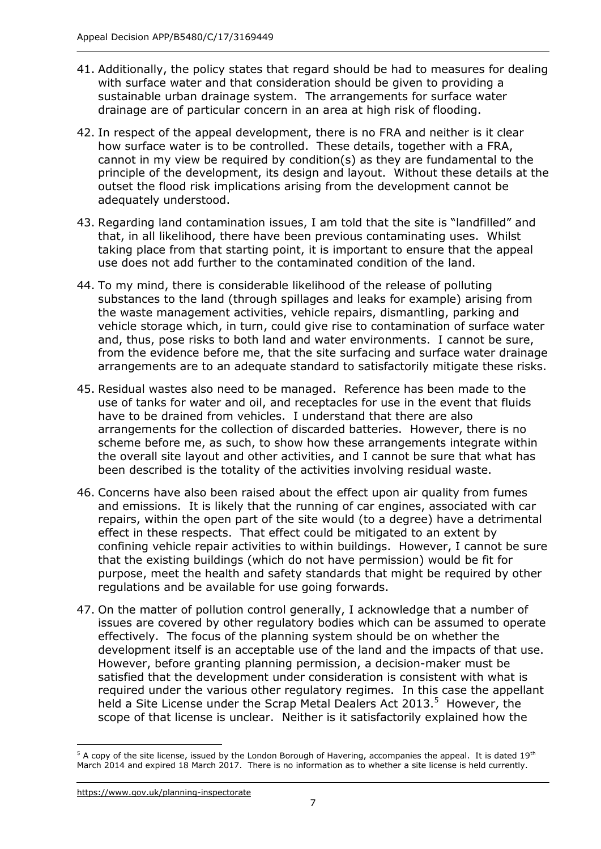- 41. Additionally, the policy states that regard should be had to measures for dealing with surface water and that consideration should be given to providing a sustainable urban drainage system. The arrangements for surface water drainage are of particular concern in an area at high risk of flooding.
- 42. In respect of the appeal development, there is no FRA and neither is it clear how surface water is to be controlled. These details, together with a FRA, cannot in my view be required by condition(s) as they are fundamental to the principle of the development, its design and layout. Without these details at the outset the flood risk implications arising from the development cannot be adequately understood.
- adequately understood.<br>43. Regarding land contamination issues, I am told that the site is "landfilled" and that, in all likelihood, there have been previous contaminating uses. Whilst taking place from that starting point, it is important to ensure that the appeal use does not add further to the contaminated condition of the land.
- 44. To my mind, there is considerable likelihood of the release of polluting substances to the land (through spillages and leaks for example) arising from the waste management activities, vehicle repairs, dismantling, parking and vehicle storage which, in turn, could give rise to contamination of surface water and, thus, pose risks to both land and water environments. I cannot be sure, from the evidence before me, that the site surfacing and surface water drainage arrangements are to an adequate standard to satisfactorily mitigate these risks.
- 45. Residual wastes also need to be managed. Reference has been made to the use of tanks for water and oil, and receptacles for use in the event that fluids have to be drained from vehicles. I understand that there are also arrangements for the collection of discarded batteries. However, there is no scheme before me, as such, to show how these arrangements integrate within the overall site layout and other activities, and I cannot be sure that what has been described is the totality of the activities involving residual waste.
- 46. Concerns have also been raised about the effect upon air quality from fumes and emissions. It is likely that the running of car engines, associated with car repairs, within the open part of the site would (to a degree) have a detrimental effect in these respects. That effect could be mitigated to an extent by confining vehicle repair activities to within buildings. However, I cannot be sure that the existing buildings (which do not have permission) would be fit for purpose, meet the health and safety standards that might be required by other regulations and be available for use going forwards.
- 47. On the matter of pollution control generally, I acknowledge that a number of effectively. The focus of the planning system should be on whether the development itself is an acceptable use of the land and the impacts of that use. However, before granting planning permission, a decision-maker must be satisfied that the development under consideration is consistent with what is required under the various other regulatory regimes. In this case the appellant held a Site License under the Scrap Metal Dealers Act 2013. $5$  However, the scope of that license is unclear. Neither is it satisfactorily explained how the issues are covered by other regulatory bodies which can be assumed to operate

j <sup>5</sup> A copy of the site license, issued by the London Borough of Havering, accompanies the appeal. It is dated 19<sup>th</sup> March 2014 and expired 18 March 2017. There is no information as to whether a site license is held currently.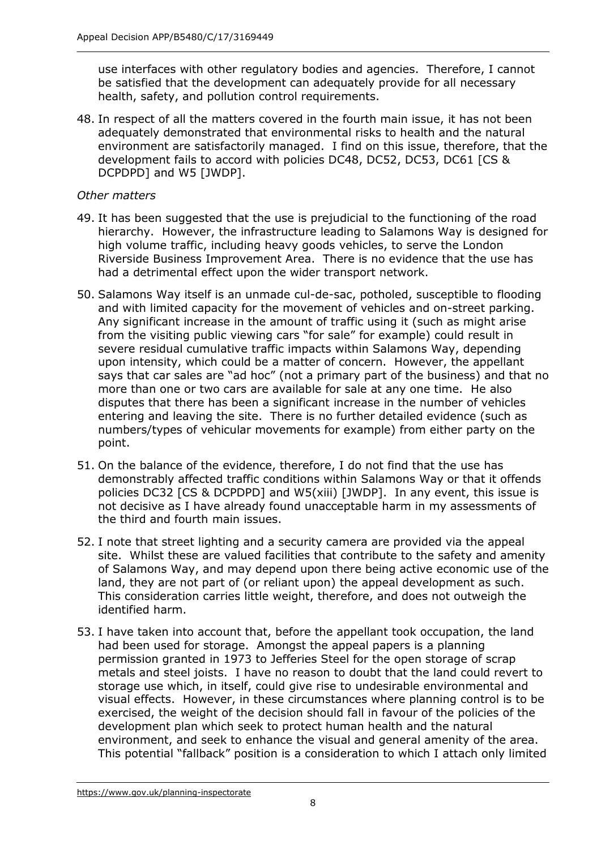use interfaces with other regulatory bodies and agencies. Therefore, I cannot be satisfied that the development can adequately provide for all necessary health, safety, and pollution control requirements.

 48. In respect of all the matters covered in the fourth main issue, it has not been adequately demonstrated that environmental risks to health and the natural environment are satisfactorily managed. I find on this issue, therefore, that the development fails to accord with policies DC48, DC52, DC53, DC61 [CS & DCPDPD] and W5 [JWDP].

## *Other matters*

- hierarchy. However, the infrastructure leading to Salamons Way is designed for high volume traffic, including heavy goods vehicles, to serve the London Riverside Business Improvement Area. There is no evidence that the use has had a detrimental effect upon the wider transport network. 49. It has been suggested that the use is prejudicial to the functioning of the road
- 50. Salamons Way itself is an unmade cul-de-sac, potholed, susceptible to flooding and with limited capacity for the movement of vehicles and on-street parking. Any significant increase in the amount of traffic using it (such as might arise from the visiting public viewing cars "for sale" for example) could result in upon intensity, which could be a matter of concern. However, the appellant says that car sales are "ad hoc" (not a primary part of the business) and that no more than one or two cars are available for sale at any one time. He also entering and leaving the site. There is no further detailed evidence (such as numbers/types of vehicular movements for example) from either party on the point. severe residual cumulative traffic impacts within Salamons Way, depending disputes that there has been a significant increase in the number of vehicles
- point.<br>51. On the balance of the evidence, therefore, I do not find that the use has policies DC32 [CS & DCPDPD] and W5(xiii) [JWDP]. In any event, this issue is not decisive as I have already found unacceptable harm in my assessments of the third and fourth main issues. demonstrably affected traffic conditions within Salamons Way or that it offends
- 52. I note that street lighting and a security camera are provided via the appeal site. Whilst these are valued facilities that contribute to the safety and amenity of Salamons Way, and may depend upon there being active economic use of the land, they are not part of (or reliant upon) the appeal development as such. This consideration carries little weight, therefore, and does not outweigh the identified harm.
- 53. I have taken into account that, before the appellant took occupation, the land had been used for storage. Amongst the appeal papers is a planning permission granted in 1973 to Jefferies Steel for the open storage of scrap metals and steel joists. I have no reason to doubt that the land could revert to storage use which, in itself, could give rise to undesirable environmental and visual effects. However, in these circumstances where planning control is to be exercised, the weight of the decision should fall in favour of the policies of the development plan which seek to protect human health and the natural environment, and seek to enhance the visual and general amenity of the area. This potential "fallback" position is a consideration to which I attach only limited